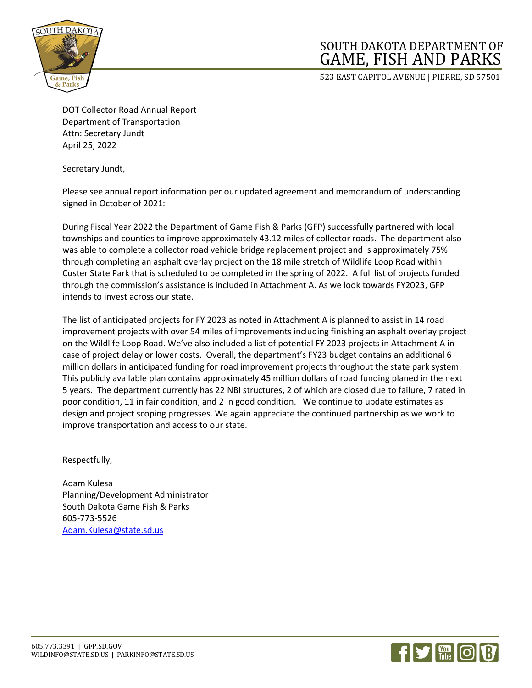

## SOUTH DAKOTA DEPARTMENT OF GAME, FISH AND PARKS

523 EAST CAPITOL AVENUE | PIERRE, SD 57501

DOT Collector Road Annual Report Department of Transportation Attn: Secretary Jundt April 25, 2022

Secretary Jundt,

Please see annual report information per our updated agreement and memorandum of understanding signed in October of 2021:

During Fiscal Year 2022 the Department of Game Fish & Parks (GFP) successfully partnered with local townships and counties to improve approximately 43.12 miles of collector roads. The department also was able to complete a collector road vehicle bridge replacement project and is approximately 75% through completing an asphalt overlay project on the 18 mile stretch of Wildlife Loop Road within Custer State Park that is scheduled to be completed in the spring of 2022. A full list of projects funded through the commission's assistance is included in Attachment A. As we look towards FY2023, GFP intends to invest across our state.

The list of anticipated projects for FY 2023 as noted in Attachment A is planned to assist in 14 road improvement projects with over 54 miles of improvements including finishing an asphalt overlay project on the Wildlife Loop Road. We've also included a list of potential FY 2023 projects in Attachment A in case of project delay or lower costs. Overall, the department's FY23 budget contains an additional 6 million dollars in anticipated funding for road improvement projects throughout the state park system. This publicly available plan contains approximately 45 million dollars of road funding planed in the next 5 years. The department currently has 22 NBI structures, 2 of which are closed due to failure, 7 rated in poor condition, 11 in fair condition, and 2 in good condition. We continue to update estimates as design and project scoping progresses. We again appreciate the continued partnership as we work to improve transportation and access to our state.

Respectfully,

Adam Kulesa Planning/Development Administrator South Dakota Game Fish & Parks 605-773-5526 [Adam.Kulesa@state.sd.us](mailto:Adam.Kulesa@state.sd.us)